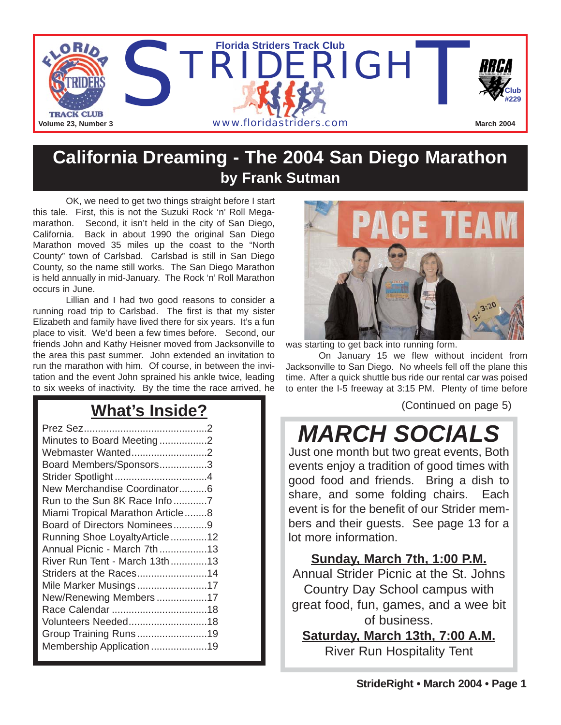

### **California Dreaming - The 2004 San Diego Marathon by Frank Sutman**

OK, we need to get two things straight before I start this tale. First, this is not the Suzuki Rock 'n' Roll Megamarathon. Second, it isn't held in the city of San Diego, California. Back in about 1990 the original San Diego Marathon moved 35 miles up the coast to the "North County" town of Carlsbad. Carlsbad is still in San Diego County, so the name still works. The San Diego Marathon is held annually in mid-January. The Rock 'n' Roll Marathon occurs in June.

Lillian and I had two good reasons to consider a running road trip to Carlsbad. The first is that my sister Elizabeth and family have lived there for six years. It's a fun place to visit. We'd been a few times before. Second, our friends John and Kathy Heisner moved from Jacksonville to the area this past summer. John extended an invitation to run the marathon with him. Of course, in between the invitation and the event John sprained his ankle twice, leading to six weeks of inactivity. By the time the race arrived, he

## **What's Inside?**

| Minutes to Board Meeting2        |  |
|----------------------------------|--|
| Webmaster Wanted2                |  |
| Board Members/Sponsors3          |  |
|                                  |  |
| New Merchandise Coordinator6     |  |
| Run to the Sun 8K Race Info7     |  |
| Miami Tropical Marathon Article8 |  |
| Board of Directors Nominees9     |  |
| Running Shoe LoyaltyArticle12    |  |
| Annual Picnic - March 7th13      |  |
| River Run Tent - March 13th13    |  |
| Striders at the Races14          |  |
| Mile Marker Musings17            |  |
| New/Renewing Members17           |  |
|                                  |  |
| Volunteers Needed18              |  |
| Group Training Runs19            |  |
| Membership Application 19        |  |
|                                  |  |



was starting to get back into running form.

On January 15 we flew without incident from Jacksonville to San Diego. No wheels fell off the plane this time. After a quick shuttle bus ride our rental car was poised to enter the I-5 freeway at 3:15 PM. Plenty of time before

(Continued on page 5)

# *MARCH SOCIALS*

Just one month but two great events, Both events enjoy a tradition of good times with good food and friends. Bring a dish to share, and some folding chairs. Each event is for the benefit of our Strider members and their guests. See page 13 for a lot more information.

**Sunday, March 7th, 1:00 P.M.**

Annual Strider Picnic at the St. Johns Country Day School campus with great food, fun, games, and a wee bit of business.

**Saturday, March 13th, 7:00 A.M.**

River Run Hospitality Tent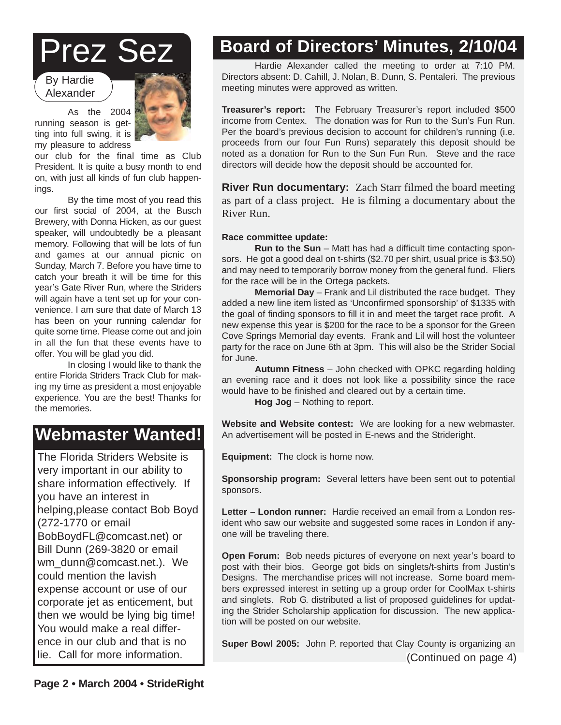# Prez Sez

By Hardie Alexander



As the 2004 running season is getting into full swing, it is my pleasure to address

our club for the final time as Club President. It is quite a busy month to end on, with just all kinds of fun club happenings.

By the time most of you read this our first social of 2004, at the Busch Brewery, with Donna Hicken, as our guest speaker, will undoubtedly be a pleasant memory. Following that will be lots of fun and games at our annual picnic on Sunday, March 7. Before you have time to catch your breath it will be time for this year's Gate River Run, where the Striders will again have a tent set up for your convenience. I am sure that date of March 13 has been on your running calendar for quite some time. Please come out and join in all the fun that these events have to offer. You will be glad you did.

In closing I would like to thank the entire Florida Striders Track Club for making my time as president a most enjoyable experience. You are the best! Thanks for the memories.

## **Webmaster Wanted!**

The Florida Striders Website is very important in our ability to share information effectively. If you have an interest in helping,please contact Bob Boyd (272-1770 or email BobBoydFL@comcast.net) or Bill Dunn (269-3820 or email wm\_dunn@comcast.net.). We could mention the lavish expense account or use of our corporate jet as enticement, but then we would be lying big time! You would make a real difference in our club and that is no

# **Board of Directors' Minutes, 2/10/04**

Hardie Alexander called the meeting to order at 7:10 PM. Directors absent: D. Cahill, J. Nolan, B. Dunn, S. Pentaleri. The previous meeting minutes were approved as written.

**Treasurer's report:** The February Treasurer's report included \$500 income from Centex. The donation was for Run to the Sun's Fun Run. Per the board's previous decision to account for children's running (i.e. proceeds from our four Fun Runs) separately this deposit should be noted as a donation for Run to the Sun Fun Run. Steve and the race directors will decide how the deposit should be accounted for.

**River Run documentary:** Zach Starr filmed the board meeting as part of a class project. He is filming a documentary about the River Run.

#### **Race committee update:**

**Run to the Sun** – Matt has had a difficult time contacting sponsors. He got a good deal on t-shirts (\$2.70 per shirt, usual price is \$3.50) and may need to temporarily borrow money from the general fund. Fliers for the race will be in the Ortega packets.

**Memorial Day** – Frank and Lil distributed the race budget. They added a new line item listed as 'Unconfirmed sponsorship' of \$1335 with the goal of finding sponsors to fill it in and meet the target race profit. A new expense this year is \$200 for the race to be a sponsor for the Green Cove Springs Memorial day events. Frank and Lil will host the volunteer party for the race on June 6th at 3pm. This will also be the Strider Social for June.

**Autumn Fitness** – John checked with OPKC regarding holding an evening race and it does not look like a possibility since the race would have to be finished and cleared out by a certain time.

**Hog Jog** – Nothing to report.

**Website and Website contest:** We are looking for a new webmaster. An advertisement will be posted in E-news and the Strideright.

**Equipment:** The clock is home now.

**Sponsorship program:** Several letters have been sent out to potential sponsors. sponsors.

Letter – London runner: Hardie received an email from a London resimier. Tiarule received an email nom a London res-<br>veheite and suggested some races in London if anyident who saw our website and suggested some races in London if any-<br>one will be traveling there. one will be traveling there.

Open Forum: Bob needs pictures of everyone on next year's board to post with their bios. George got bids on singlets/t-shirts from Justin's Designs. The inerchanguse prices will not increase. Some board mem-<br>bers expressed interest in setting up a group order for CoolMax t-shirts and singlets. Rob G. distributed a list of proposed guidelines for updating the Strider Scholarship application for discussion. The new application will be posted on our website. The support of the support of the support of the support of the support of Designs. The merchandise prices will not increase. Some board mem-

**Super Bowl 2005:** John P. reported that Clay County is organizing an lie. Call for more information. (Continued on page 4)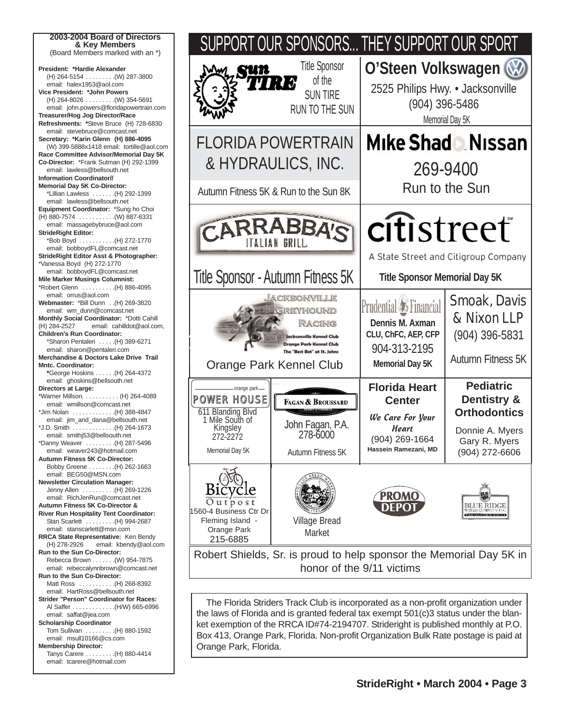



the laws of Florida and is granted federal tax exempt 501(c)3 status under the blanket exemption of the RRCA ID#74-2194707. Strideright is published monthly at P.O. Box 413, Orange Park, Florida. Non-profit Organization Bulk Rate postage is paid at Orange Park, Florida.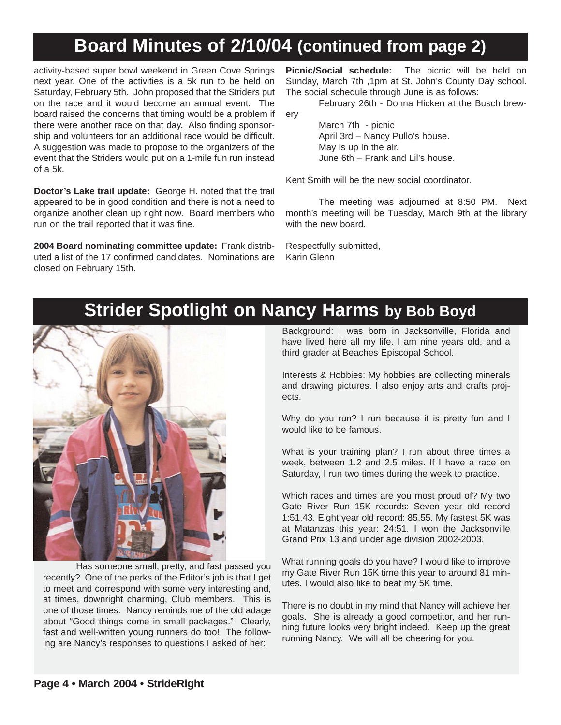## **Board Minutes of 2/10/04 (continued from page 2)**

activity-based super bowl weekend in Green Cove Springs next year. One of the activities is a 5k run to be held on Saturday, February 5th. John proposed that the Striders put on the race and it would become an annual event. The board raised the concerns that timing would be a problem if there were another race on that day. Also finding sponsorship and volunteers for an additional race would be difficult. A suggestion was made to propose to the organizers of the event that the Striders would put on a 1-mile fun run instead of a 5k.

**Doctor's Lake trail update:** George H. noted that the trail appeared to be in good condition and there is not a need to organize another clean up right now. Board members who run on the trail reported that it was fine.

**2004 Board nominating committee update:** Frank distributed a list of the 17 confirmed candidates. Nominations are closed on February 15th.

**Picnic/Social schedule:** The picnic will be held on Sunday, March 7th ,1pm at St. John's County Day school. The social schedule through June is as follows:

February 26th - Donna Hicken at the Busch brewery

> March 7th - picnic April 3rd – Nancy Pullo's house. May is up in the air. June 6th – Frank and Lil's house.

Kent Smith will be the new social coordinator.

The meeting was adjourned at 8:50 PM. Next month's meeting will be Tuesday, March 9th at the library with the new board.

Respectfully submitted, Karin Glenn

### **Strider Spotlight on Nancy Harms by Bob Boyd**



Has someone small, pretty, and fast passed you recently? One of the perks of the Editor's job is that I get to meet and correspond with some very interesting and, at times, downright charming, Club members. This is one of those times. Nancy reminds me of the old adage about "Good things come in small packages." Clearly, fast and well-written young runners do too! The following are Nancy's responses to questions I asked of her:

Background: I was born in Jacksonville, Florida and have lived here all my life. I am nine years old, and a third grader at Beaches Episcopal School.

Interests & Hobbies: My hobbies are collecting minerals and drawing pictures. I also enjoy arts and crafts projects.

Why do you run? I run because it is pretty fun and I would like to be famous.

What is your training plan? I run about three times a week, between 1.2 and 2.5 miles. If I have a race on Saturday, I run two times during the week to practice.

Which races and times are you most proud of? My two Gate River Run 15K records: Seven year old record 1:51.43. Eight year old record: 85.55. My fastest 5K was at Matanzas this year: 24:51. I won the Jacksonville Grand Prix 13 and under age division 2002-2003.

What running goals do you have? I would like to improve my Gate River Run 15K time this year to around 81 minutes. I would also like to beat my 5K time.

There is no doubt in my mind that Nancy will achieve her goals. She is already a good competitor, and her running future looks very bright indeed. Keep up the great running Nancy. We will all be cheering for you.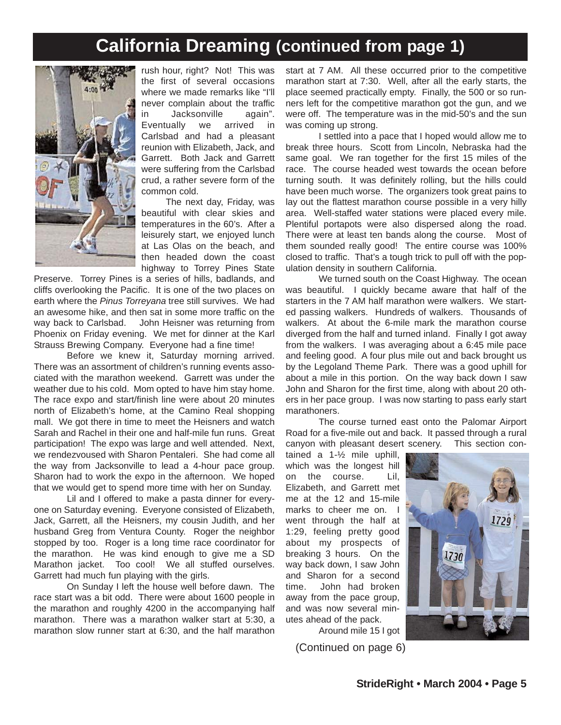## **California Dreaming (continued from page 1)**



rush hour, right? Not! This was the first of several occasions where we made remarks like "I'll never complain about the traffic in Jacksonville again". Eventually we arrived in Carlsbad and had a pleasant reunion with Elizabeth, Jack, and Garrett. Both Jack and Garrett were suffering from the Carlsbad crud, a rather severe form of the common cold.

The next day, Friday, was beautiful with clear skies and temperatures in the 60's. After a leisurely start, we enjoyed lunch at Las Olas on the beach, and then headed down the coast highway to Torrey Pines State

Preserve. Torrey Pines is a series of hills, badlands, and cliffs overlooking the Pacific. It is one of the two places on earth where the *Pinus Torreyana* tree still survives. We had an awesome hike, and then sat in some more traffic on the way back to Carlsbad. John Heisner was returning from Phoenix on Friday evening. We met for dinner at the Karl Strauss Brewing Company. Everyone had a fine time!

Before we knew it, Saturday morning arrived. There was an assortment of children's running events associated with the marathon weekend. Garrett was under the weather due to his cold. Mom opted to have him stay home. The race expo and start/finish line were about 20 minutes north of Elizabeth's home, at the Camino Real shopping mall. We got there in time to meet the Heisners and watch Sarah and Rachel in their one and half-mile fun runs. Great participation! The expo was large and well attended. Next, we rendezvoused with Sharon Pentaleri. She had come all the way from Jacksonville to lead a 4-hour pace group. Sharon had to work the expo in the afternoon. We hoped that we would get to spend more time with her on Sunday.

Lil and I offered to make a pasta dinner for everyone on Saturday evening. Everyone consisted of Elizabeth, Jack, Garrett, all the Heisners, my cousin Judith, and her husband Greg from Ventura County. Roger the neighbor stopped by too. Roger is a long time race coordinator for the marathon. He was kind enough to give me a SD Marathon jacket. Too cool! We all stuffed ourselves. Garrett had much fun playing with the girls.

On Sunday I left the house well before dawn. The race start was a bit odd. There were about 1600 people in the marathon and roughly 4200 in the accompanying half marathon. There was a marathon walker start at 5:30, a marathon slow runner start at 6:30, and the half marathon

start at 7 AM. All these occurred prior to the competitive marathon start at 7:30. Well, after all the early starts, the place seemed practically empty. Finally, the 500 or so runners left for the competitive marathon got the gun, and we were off. The temperature was in the mid-50's and the sun was coming up strong.

I settled into a pace that I hoped would allow me to break three hours. Scott from Lincoln, Nebraska had the same goal. We ran together for the first 15 miles of the race. The course headed west towards the ocean before turning south. It was definitely rolling, but the hills could have been much worse. The organizers took great pains to lay out the flattest marathon course possible in a very hilly area. Well-staffed water stations were placed every mile. Plentiful portapots were also dispersed along the road. There were at least ten bands along the course. Most of them sounded really good! The entire course was 100% closed to traffic. That's a tough trick to pull off with the population density in southern California.

We turned south on the Coast Highway. The ocean was beautiful. I quickly became aware that half of the starters in the 7 AM half marathon were walkers. We started passing walkers. Hundreds of walkers. Thousands of walkers. At about the 6-mile mark the marathon course diverged from the half and turned inland. Finally I got away from the walkers. I was averaging about a 6:45 mile pace and feeling good. A four plus mile out and back brought us by the Legoland Theme Park. There was a good uphill for about a mile in this portion. On the way back down I saw John and Sharon for the first time, along with about 20 others in her pace group. I was now starting to pass early start marathoners.

The course turned east onto the Palomar Airport Road for a five-mile out and back. It passed through a rural canyon with pleasant desert scenery. This section con-

tained a 1-½ mile uphill, which was the longest hill on the course. Lil, Elizabeth, and Garrett met me at the 12 and 15-mile marks to cheer me on. I went through the half at 1:29, feeling pretty good about my prospects of breaking 3 hours. On the way back down, I saw John and Sharon for a second time. John had broken away from the pace group, and was now several minutes ahead of the pack.



Around mile 15 I got

(Continued on page 6)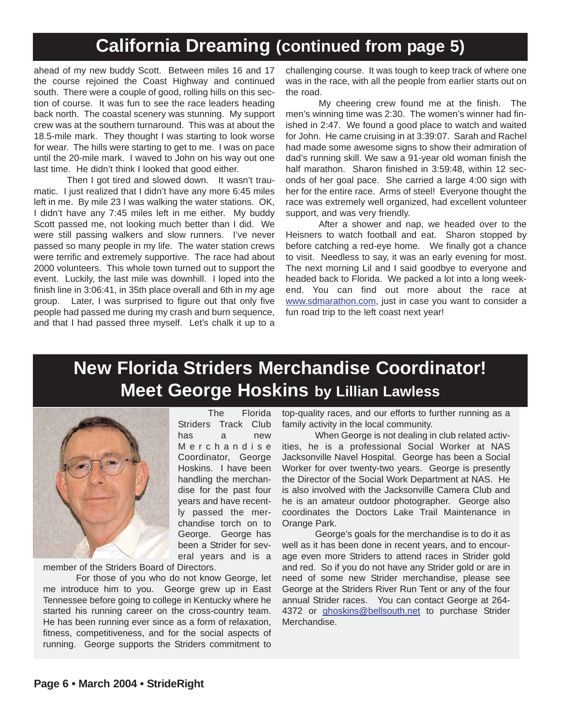## **California Dreaming (continued from page 5)**

ahead of my new buddy Scott. Between miles 16 and 17 the course rejoined the Coast Highway and continued south. There were a couple of good, rolling hills on this section of course. It was fun to see the race leaders heading back north. The coastal scenery was stunning. My support crew was at the southern turnaround. This was at about the 18.5-mile mark. They thought I was starting to look worse for wear. The hills were starting to get to me. I was on pace until the 20-mile mark. I waved to John on his way out one last time. He didn't think I looked that good either.

Then I got tired and slowed down. It wasn't traumatic. I just realized that I didn't have any more 6:45 miles left in me. By mile 23 I was walking the water stations. OK, I didn't have any 7:45 miles left in me either. My buddy Scott passed me, not looking much better than I did. We were still passing walkers and slow runners. I've never passed so many people in my life. The water station crews were terrific and extremely supportive. The race had about 2000 volunteers. This whole town turned out to support the event. Luckily, the last mile was downhill. I loped into the finish line in 3:06:41, in 35th place overall and 6th in my age group. Later, I was surprised to figure out that only five people had passed me during my crash and burn sequence, and that I had passed three myself. Let's chalk it up to a

challenging course. It was tough to keep track of where one was in the race, with all the people from earlier starts out on the road.

My cheering crew found me at the finish. The men's winning time was 2:30. The women's winner had finished in 2:47. We found a good place to watch and waited for John. He came cruising in at 3:39:07. Sarah and Rachel had made some awesome signs to show their admiration of dad's running skill. We saw a 91-year old woman finish the half marathon. Sharon finished in 3:59:48, within 12 seconds of her goal pace. She carried a large 4:00 sign with her for the entire race. Arms of steel! Everyone thought the race was extremely well organized, had excellent volunteer support, and was very friendly.

After a shower and nap, we headed over to the Heisners to watch football and eat. Sharon stopped by before catching a red-eye home. We finally got a chance to visit. Needless to say, it was an early evening for most. The next morning Lil and I said goodbye to everyone and headed back to Florida. We packed a lot into a long weekend. You can find out more about the race at www.sdmarathon.com, just in case you want to consider a fun road trip to the left coast next year!

## **New Florida Striders Merchandise Coordinator! Meet George Hoskins by Lillian Lawless**



The Florida Striders Track Club has a new Merchandise Coordinator, George Hoskins. I have been handling the merchandise for the past four years and have recently passed the merchandise torch on to George. George has been a Strider for several years and is a

member of the Striders Board of Directors.

For those of you who do not know George, let me introduce him to you. George grew up in East Tennessee before going to college in Kentucky where he started his running career on the cross-country team. He has been running ever since as a form of relaxation, fitness, competitiveness, and for the social aspects of running. George supports the Striders commitment to

top-quality races, and our efforts to further running as a family activity in the local community.

When George is not dealing in club related activities, he is a professional Social Worker at NAS Jacksonville Navel Hospital. George has been a Social Worker for over twenty-two years. George is presently the Director of the Social Work Department at NAS. He is also involved with the Jacksonville Camera Club and he is an amateur outdoor photographer. George also coordinates the Doctors Lake Trail Maintenance in Orange Park.

George's goals for the merchandise is to do it as well as it has been done in recent years, and to encourage even more Striders to attend races in Strider gold and red. So if you do not have any Strider gold or are in need of some new Strider merchandise, please see George at the Striders River Run Tent or any of the four annual Strider races. You can contact George at 264- 4372 or ghoskins@bellsouth.net to purchase Strider Merchandise.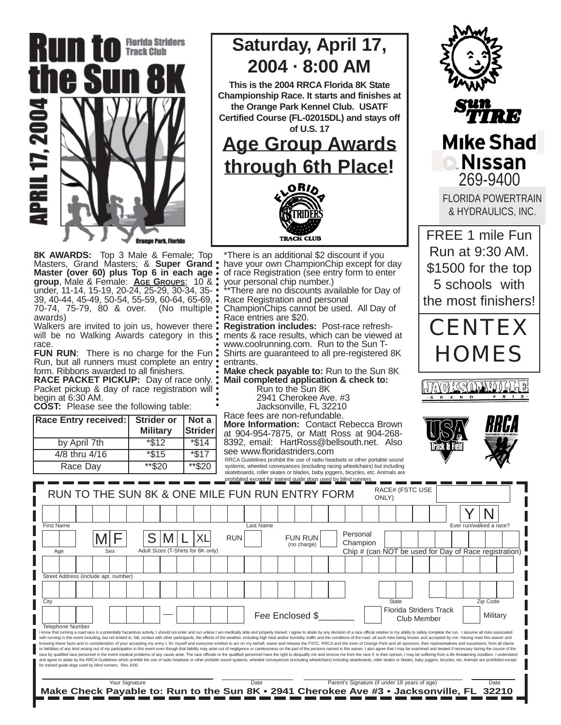

**Saturday, April 17, 2004 · 8:00 AM**

**This is the 2004 RRCA Florida 8K State Championship Race. It starts and finishes at the Orange Park Kennel Club. USATF Certified Course (FL-02015DL) and stays off of U.S. 17** 

### **Age Group Awards through 6th Place!**



**8K AWARDS:** Top 3 Male & Female; Top Masters, Grand Masters; & **Super Grand Master (over 60) plus Top 6 in each age group**, Male & Female: **AGE GROUPS**: 10 & under, 11-14, 15-19, 20-24, 25-29, 30-34, 35- 39, 40-44, 45-49, 50-54, 55-59, 60-64, 65-69, •<br>70-74, 75-79, 80 & over. (No multiple : 70-74, 75-79, 80 & over. awards)

Walkers are invited to join us, however there . will be no Walking Awards category in this: race.

**FUN RUN:** There is no charge for the Fun: Run, but all runners must complete an entry form. Ribbons awarded to all finishers.

**RACE PACKET PICKUP:** Day of race only. Packet pickup & day of race registration will begin at 6:30 AM.

**COST:** Please see the following table:

| <b>Race Entry received:</b> | <b>Strider or</b> | Not a                     |
|-----------------------------|-------------------|---------------------------|
|                             | <b>Military</b>   | Strider                   |
| by April 7th                | $*\$12$           | $\overline{\text{3}}14$   |
| 4/8 thru 4/16               | $*\$15$           | $\overline{\text{*}}\$17$ |
| Race Day                    | **\$20            | $**$ \$20                 |

\*There is an additional \$2 discount if you have your own ChampionChip except for day of race Registration (see entry form to enter your personal chip number.)

There are no discounts available for Day of Race Registration and personal

ChampionChips cannot be used. All Day of Race entries are \$20.

**Registration includes:** Post-race refreshments & race results, which can be viewed at www.coolrunning.com. Run to the Sun T-Shirts are guaranteed to all pre-registered 8K entrants.

**Make check payable to:** Run to the Sun 8K **Mail completed application & check to:**  Run to the Sun 8K

2941 Cherokee Ave. #3

Jacksonville, FL 32210

Race fees are non-refundable. **More Information:** Contact Rebecca Brown at 904-954-7875, or Matt Ross at 904-268- 8392, email: HartRoss@bellsouth.net. Also see www.floridastriders.com RRCA Guidelines prohibit the use of radio headsets or other portable sound

systems, wheeled conveyances (excluding racing wheelchairs) but including skateboards, roller skates or blades, baby joggers, bicycles, etc. Animals are



**Mike Shad Nissan** 269-9400

FLORIDA POWERTRAIN & HYDRAULICS, INC.

FREE 1 mile Fun Run at 9:30 AM. \$1500 for the top 5 schools with the most finishers!







|                                                                                                                                                                                                                                                                                                                                                                                                                                                                                                                                                                                                                                                                                                                                                                                                                                                                                                                                                                                                                                                                                                                                                                                                                                                                                                                                                                                                                                                                                                |                                                                                                            |  |  |     |  |  |      |  |                                    |  | prohibited except for trained quide dogs used by blind runners.<br>RUN TO THE SUN 8K & ONE MILE FUN RUN ENTRY FORM |                                               |                 |                               |  |                      |      | ONLY) | RACE# (FSTC USE |                               |                         |                      |                                                       |
|------------------------------------------------------------------------------------------------------------------------------------------------------------------------------------------------------------------------------------------------------------------------------------------------------------------------------------------------------------------------------------------------------------------------------------------------------------------------------------------------------------------------------------------------------------------------------------------------------------------------------------------------------------------------------------------------------------------------------------------------------------------------------------------------------------------------------------------------------------------------------------------------------------------------------------------------------------------------------------------------------------------------------------------------------------------------------------------------------------------------------------------------------------------------------------------------------------------------------------------------------------------------------------------------------------------------------------------------------------------------------------------------------------------------------------------------------------------------------------------------|------------------------------------------------------------------------------------------------------------|--|--|-----|--|--|------|--|------------------------------------|--|--------------------------------------------------------------------------------------------------------------------|-----------------------------------------------|-----------------|-------------------------------|--|----------------------|------|-------|-----------------|-------------------------------|-------------------------|----------------------|-------------------------------------------------------|
|                                                                                                                                                                                                                                                                                                                                                                                                                                                                                                                                                                                                                                                                                                                                                                                                                                                                                                                                                                                                                                                                                                                                                                                                                                                                                                                                                                                                                                                                                                |                                                                                                            |  |  |     |  |  |      |  |                                    |  |                                                                                                                    |                                               |                 |                               |  |                      |      |       |                 |                               |                         |                      |                                                       |
| <b>First Name</b>                                                                                                                                                                                                                                                                                                                                                                                                                                                                                                                                                                                                                                                                                                                                                                                                                                                                                                                                                                                                                                                                                                                                                                                                                                                                                                                                                                                                                                                                              |                                                                                                            |  |  |     |  |  |      |  | XL                                 |  | <b>RUN</b>                                                                                                         | Last Name                                     |                 | <b>FUN RUN</b><br>(no charge) |  | Personal<br>Champion |      |       |                 |                               | Ever run/walked a race? |                      |                                                       |
|                                                                                                                                                                                                                                                                                                                                                                                                                                                                                                                                                                                                                                                                                                                                                                                                                                                                                                                                                                                                                                                                                                                                                                                                                                                                                                                                                                                                                                                                                                | Age                                                                                                        |  |  | Sex |  |  |      |  | Adult Sizes (T-Shirts for 8K only) |  |                                                                                                                    |                                               |                 |                               |  |                      |      |       |                 |                               |                         |                      | Chip # (can NOT be used for Day of Race registration) |
|                                                                                                                                                                                                                                                                                                                                                                                                                                                                                                                                                                                                                                                                                                                                                                                                                                                                                                                                                                                                                                                                                                                                                                                                                                                                                                                                                                                                                                                                                                | Street Address (include apt. number)                                                                       |  |  |     |  |  |      |  |                                    |  |                                                                                                                    |                                               |                 |                               |  |                      |      |       |                 |                               |                         |                      |                                                       |
|                                                                                                                                                                                                                                                                                                                                                                                                                                                                                                                                                                                                                                                                                                                                                                                                                                                                                                                                                                                                                                                                                                                                                                                                                                                                                                                                                                                                                                                                                                |                                                                                                            |  |  |     |  |  |      |  |                                    |  |                                                                                                                    |                                               |                 |                               |  |                      |      |       |                 |                               |                         |                      |                                                       |
| City                                                                                                                                                                                                                                                                                                                                                                                                                                                                                                                                                                                                                                                                                                                                                                                                                                                                                                                                                                                                                                                                                                                                                                                                                                                                                                                                                                                                                                                                                           |                                                                                                            |  |  |     |  |  |      |  |                                    |  |                                                                                                                    |                                               | Fee Enclosed \$ |                               |  |                      |      | State | Club Member     | <b>Florida Striders Track</b> |                         | Zip Code<br>Military |                                                       |
| <b>Telephone Number</b><br>I know that running a road race is a potentially hazardous activity. I should not enter and run unless I am medically able and properly trained. I agree to abide by any decision of a race official relative to my ability to<br>with running in this event including, but not limited to: fall, contact with other participants, the effects of the weather, including high heat and/or humidity, traffic and the conditions of the road, all such risks being<br>knowing these facts and in consideration of your accepting my entry I, for myself and everyone entitled to act on my behalf, waive and release the FSTC, RRCA and the town of Orange Park and all sponsors, their representati<br>or liabilities of any kind arising out of my participation in this event even though that liability may arise out of negligence or carelessness on the part of the persons named in this waiver. I also agree that I may be ex<br>race by qualified race personnel in the event medical problems of any cause arise. The race officials or the qualified personnel have the right to disqualify me and remove me from the race if, in their opinion, I may be su<br>and agree to abide by the RRCA Guidelines which prohibit the use of radio headsets or other portable sound systems, wheeled conveyances (excluding wheelchairs) including skateboards, roller skates or blades, baby joggers,<br>for trained guide dogs used by blind runners. Rev. 6/00. |                                                                                                            |  |  |     |  |  |      |  |                                    |  |                                                                                                                    |                                               |                 |                               |  |                      |      |       |                 |                               |                         |                      |                                                       |
|                                                                                                                                                                                                                                                                                                                                                                                                                                                                                                                                                                                                                                                                                                                                                                                                                                                                                                                                                                                                                                                                                                                                                                                                                                                                                                                                                                                                                                                                                                | Your Signature<br>Make Check Payable to: Run to the Sun 8K • 2941 Cherokee Ave #3 • Jacksonville, FL 32210 |  |  |     |  |  | Date |  |                                    |  |                                                                                                                    | Parent's Signature (if under 18 years of age) |                 |                               |  |                      | Date |       |                 |                               |                         |                      |                                                       |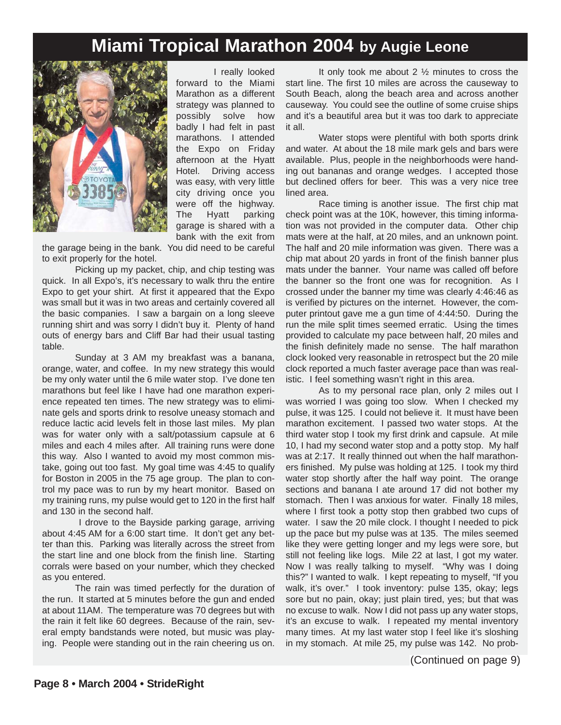### **Miami Tropical Marathon 2004 by Augie Leone**



I really looked forward to the Miami Marathon as a different strategy was planned to possibly solve how badly I had felt in past marathons. I attended the Expo on Friday afternoon at the Hyatt Hotel. Driving access was easy, with very little city driving once you were off the highway. The Hyatt parking garage is shared with a bank with the exit from

the garage being in the bank. You did need to be careful to exit properly for the hotel.

Picking up my packet, chip, and chip testing was quick. In all Expo's, it's necessary to walk thru the entire Expo to get your shirt. At first it appeared that the Expo was small but it was in two areas and certainly covered all the basic companies. I saw a bargain on a long sleeve running shirt and was sorry I didn't buy it. Plenty of hand outs of energy bars and Cliff Bar had their usual tasting table.

Sunday at 3 AM my breakfast was a banana, orange, water, and coffee. In my new strategy this would be my only water until the 6 mile water stop. I've done ten marathons but feel like I have had one marathon experience repeated ten times. The new strategy was to eliminate gels and sports drink to resolve uneasy stomach and reduce lactic acid levels felt in those last miles. My plan was for water only with a salt/potassium capsule at 6 miles and each 4 miles after. All training runs were done this way. Also I wanted to avoid my most common mistake, going out too fast. My goal time was 4:45 to qualify for Boston in 2005 in the 75 age group. The plan to control my pace was to run by my heart monitor. Based on my training runs, my pulse would get to 120 in the first half and 130 in the second half.

I drove to the Bayside parking garage, arriving about 4:45 AM for a 6:00 start time. It don't get any better than this. Parking was literally across the street from the start line and one block from the finish line. Starting corrals were based on your number, which they checked as you entered.

The rain was timed perfectly for the duration of the run. It started at 5 minutes before the gun and ended at about 11AM. The temperature was 70 degrees but with the rain it felt like 60 degrees. Because of the rain, several empty bandstands were noted, but music was playing. People were standing out in the rain cheering us on.

It only took me about 2 ½ minutes to cross the start line. The first 10 miles are across the causeway to South Beach, along the beach area and across another causeway. You could see the outline of some cruise ships and it's a beautiful area but it was too dark to appreciate it all.

Water stops were plentiful with both sports drink and water. At about the 18 mile mark gels and bars were available. Plus, people in the neighborhoods were handing out bananas and orange wedges. I accepted those but declined offers for beer. This was a very nice tree lined area.

Race timing is another issue. The first chip mat check point was at the 10K, however, this timing information was not provided in the computer data. Other chip mats were at the half, at 20 miles, and an unknown point. The half and 20 mile information was given. There was a chip mat about 20 yards in front of the finish banner plus mats under the banner. Your name was called off before the banner so the front one was for recognition. As I crossed under the banner my time was clearly 4:46:46 as is verified by pictures on the internet. However, the computer printout gave me a gun time of 4:44:50. During the run the mile split times seemed erratic. Using the times provided to calculate my pace between half, 20 miles and the finish definitely made no sense. The half marathon clock looked very reasonable in retrospect but the 20 mile clock reported a much faster average pace than was realistic. I feel something wasn't right in this area.

As to my personal race plan, only 2 miles out I was worried I was going too slow. When I checked my pulse, it was 125. I could not believe it. It must have been marathon excitement. I passed two water stops. At the third water stop I took my first drink and capsule. At mile 10, I had my second water stop and a potty stop. My half was at 2:17. It really thinned out when the half marathoners finished. My pulse was holding at 125. I took my third water stop shortly after the half way point. The orange sections and banana I ate around 17 did not bother my stomach. Then I was anxious for water. Finally 18 miles, where I first took a potty stop then grabbed two cups of water. I saw the 20 mile clock. I thought I needed to pick up the pace but my pulse was at 135. The miles seemed like they were getting longer and my legs were sore, but still not feeling like logs. Mile 22 at last, I got my water. Now I was really talking to myself. "Why was I doing this?" I wanted to walk. I kept repeating to myself, "If you walk, it's over." I took inventory: pulse 135, okay; legs sore but no pain, okay; just plain tired, yes; but that was no excuse to walk. Now I did not pass up any water stops, it's an excuse to walk. I repeated my mental inventory many times. At my last water stop I feel like it's sloshing in my stomach. At mile 25, my pulse was 142. No prob-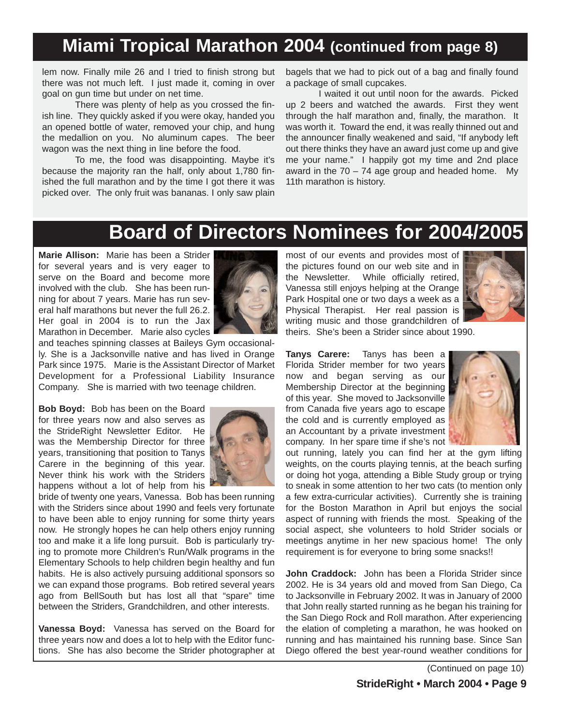## **Miami Tropical Marathon 2004 (continued from page 8)**

lem now. Finally mile 26 and I tried to finish strong but there was not much left. I just made it, coming in over goal on gun time but under on net time.

There was plenty of help as you crossed the finish line. They quickly asked if you were okay, handed you an opened bottle of water, removed your chip, and hung the medallion on you. No aluminum capes. The beer wagon was the next thing in line before the food.

To me, the food was disappointing. Maybe it's because the majority ran the half, only about 1,780 finished the full marathon and by the time I got there it was picked over. The only fruit was bananas. I only saw plain bagels that we had to pick out of a bag and finally found a package of small cupcakes.

I waited it out until noon for the awards. Picked up 2 beers and watched the awards. First they went through the half marathon and, finally, the marathon. It was worth it. Toward the end, it was really thinned out and the announcer finally weakened and said, "If anybody left out there thinks they have an award just come up and give me your name." I happily got my time and 2nd place award in the  $70 - 74$  age group and headed home. My 11th marathon is history.

### **Board of Directors Nominees for 2004/2005**

**Marie Allison:** Marie has been a Strider for several years and is very eager to serve on the Board and become more involved with the club. She has been running for about 7 years. Marie has run several half marathons but never the full 26.2. Her goal in 2004 is to run the Jax Marathon in December. Marie also cycles



and teaches spinning classes at Baileys Gym occasionally. She is a Jacksonville native and has lived in Orange Park since 1975. Marie is the Assistant Director of Market Development for a Professional Liability Insurance Company. She is married with two teenage children.

**Bob Boyd:** Bob has been on the Board for three years now and also serves as the StrideRight Newsletter Editor. He was the Membership Director for three years, transitioning that position to Tanys Carere in the beginning of this year. Never think his work with the Striders happens without a lot of help from his



bride of twenty one years, Vanessa. Bob has been running with the Striders since about 1990 and feels very fortunate to have been able to enjoy running for some thirty years now. He strongly hopes he can help others enjoy running too and make it a life long pursuit. Bob is particularly trying to promote more Children's Run/Walk programs in the Elementary Schools to help children begin healthy and fun habits. He is also actively pursuing additional sponsors so we can expand those programs. Bob retired several years ago from BellSouth but has lost all that "spare" time between the Striders, Grandchildren, and other interests.

**Vanessa Boyd:** Vanessa has served on the Board for three years now and does a lot to help with the Editor functions. She has also become the Strider photographer at most of our events and provides most of the pictures found on our web site and in the Newsletter. While officially retired, Vanessa still enjoys helping at the Orange Park Hospital one or two days a week as a Physical Therapist. Her real passion is writing music and those grandchildren of



theirs. She's been a Strider since about 1990.

**Tanys Carere:** Tanys has been a Florida Strider member for two years now and began serving as our Membership Director at the beginning of this year. She moved to Jacksonville from Canada five years ago to escape the cold and is currently employed as an Accountant by a private investment company. In her spare time if she's not



out running, lately you can find her at the gym lifting weights, on the courts playing tennis, at the beach surfing or doing hot yoga, attending a Bible Study group or trying to sneak in some attention to her two cats (to mention only a few extra-curricular activities). Currently she is training for the Boston Marathon in April but enjoys the social aspect of running with friends the most. Speaking of the social aspect, she volunteers to hold Strider socials or meetings anytime in her new spacious home! The only requirement is for everyone to bring some snacks!!

**John Craddock:** John has been a Florida Strider since 2002. He is 34 years old and moved from San Diego, Ca to Jacksonville in February 2002. It was in January of 2000 that John really started running as he began his training for the San Diego Rock and Roll marathon. After experiencing the elation of completing a marathon, he was hooked on running and has maintained his running base. Since San Diego offered the best year-round weather conditions for

(Continued on page 10)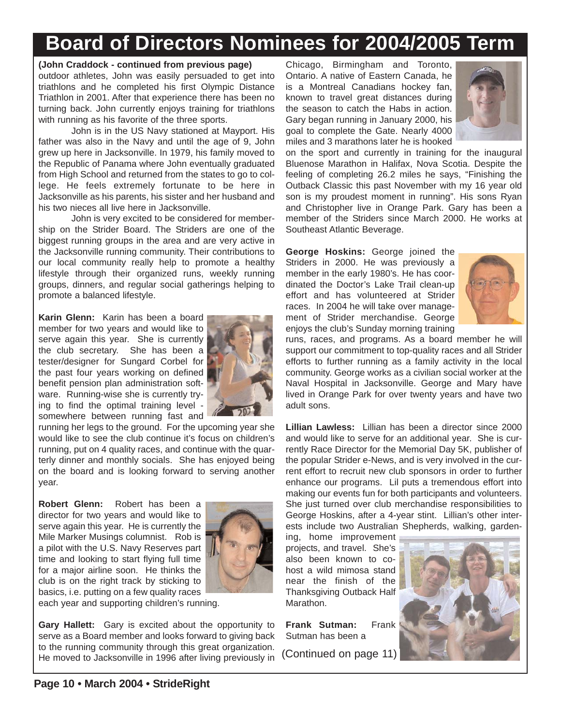# **Board of Directors Nominees for 2004/2005 Term**

#### **(John Craddock - continued from previous page)**

outdoor athletes, John was easily persuaded to get into triathlons and he completed his first Olympic Distance Triathlon in 2001. After that experience there has been no turning back. John currently enjoys training for triathlons with running as his favorite of the three sports.

John is in the US Navy stationed at Mayport. His father was also in the Navy and until the age of 9, John grew up here in Jacksonville. In 1979, his family moved to the Republic of Panama where John eventually graduated from High School and returned from the states to go to college. He feels extremely fortunate to be here in Jacksonville as his parents, his sister and her husband and his two nieces all live here in Jacksonville.

John is very excited to be considered for membership on the Strider Board. The Striders are one of the biggest running groups in the area and are very active in the Jacksonville running community. Their contributions to our local community really help to promote a healthy lifestyle through their organized runs, weekly running groups, dinners, and regular social gatherings helping to promote a balanced lifestyle.

**Karin Glenn:** Karin has been a board member for two years and would like to serve again this year. She is currently the club secretary. She has been a tester/designer for Sungard Corbel for the past four years working on defined benefit pension plan administration software. Running-wise she is currently trying to find the optimal training level somewhere between running fast and



running her legs to the ground. For the upcoming year she would like to see the club continue it's focus on children's running, put on 4 quality races, and continue with the quarterly dinner and monthly socials. She has enjoyed being on the board and is looking forward to serving another year.

**Robert Glenn:** Robert has been a director for two years and would like to serve again this year. He is currently the Mile Marker Musings columnist. Rob is a pilot with the U.S. Navy Reserves part time and looking to start flying full time for a major airline soon. He thinks the club is on the right track by sticking to basics, i.e. putting on a few quality races



each year and supporting children's running.

**Gary Hallett:** Gary is excited about the opportunity to serve as a Board member and looks forward to giving back to the running community through this great organization. He moved to Jacksonville in 1996 after living previously in

Chicago, Birmingham and Toronto, Ontario. A native of Eastern Canada, he is a Montreal Canadians hockey fan, known to travel great distances during the season to catch the Habs in action. Gary began running in January 2000, his goal to complete the Gate. Nearly 4000 miles and 3 marathons later he is hooked



on the sport and currently in training for the inaugural Bluenose Marathon in Halifax, Nova Scotia. Despite the feeling of completing 26.2 miles he says, "Finishing the Outback Classic this past November with my 16 year old son is my proudest moment in running". His sons Ryan and Christopher live in Orange Park. Gary has been a member of the Striders since March 2000. He works at Southeast Atlantic Beverage.

**George Hoskins:** George joined the Striders in 2000. He was previously a member in the early 1980's. He has coordinated the Doctor's Lake Trail clean-up effort and has volunteered at Strider races. In 2004 he will take over management of Strider merchandise. George enjoys the club's Sunday morning training



runs, races, and programs. As a board member he will support our commitment to top-quality races and all Strider efforts to further running as a family activity in the local community. George works as a civilian social worker at the Naval Hospital in Jacksonville. George and Mary have lived in Orange Park for over twenty years and have two adult sons.

**Lillian Lawless:** Lillian has been a director since 2000 and would like to serve for an additional year. She is currently Race Director for the Memorial Day 5K, publisher of the popular Strider e-News, and is very involved in the current effort to recruit new club sponsors in order to further enhance our programs. Lil puts a tremendous effort into making our events fun for both participants and volunteers. She just turned over club merchandise responsibilities to George Hoskins, after a 4-year stint. Lillian's other interests include two Australian Shepherds, walking, garden-

ing, home improvement projects, and travel. She's also been known to cohost a wild mimosa stand near the finish of the Thanksgiving Outback Half Marathon.

**Frank Sutman:** Frank Sutman has been a

(Continued on page 11)

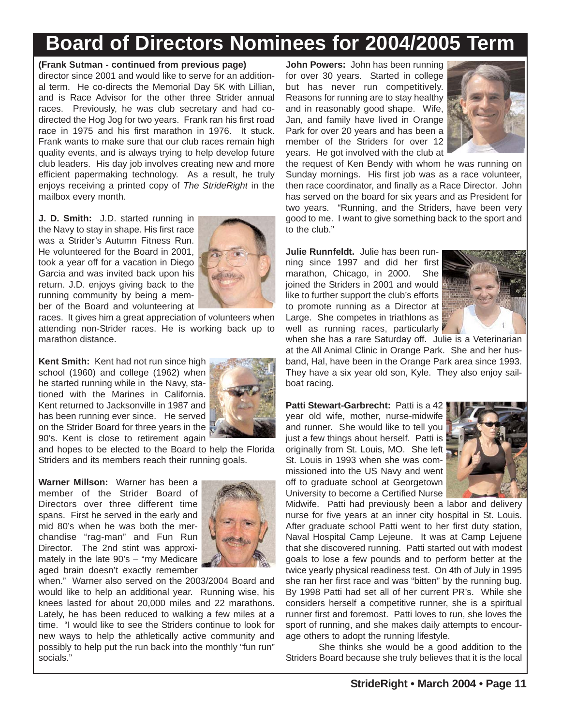# **Board of Directors Nominees for 2004/2005 Term**

#### **(Frank Sutman - continued from previous page)**

director since 2001 and would like to serve for an additional term. He co-directs the Memorial Day 5K with Lillian, and is Race Advisor for the other three Strider annual races. Previously, he was club secretary and had codirected the Hog Jog for two years. Frank ran his first road race in 1975 and his first marathon in 1976. It stuck. Frank wants to make sure that our club races remain high quality events, and is always trying to help develop future club leaders. His day job involves creating new and more efficient papermaking technology. As a result, he truly enjoys receiving a printed copy of *The StrideRight* in the mailbox every month.

**J. D. Smith:** J.D. started running in the Navy to stay in shape. His first race was a Strider's Autumn Fitness Run. He volunteered for the Board in 2001, took a year off for a vacation in Diego Garcia and was invited back upon his return. J.D. enjoys giving back to the running community by being a member of the Board and volunteering at



races. It gives him a great appreciation of volunteers when attending non-Strider races. He is working back up to marathon distance.

**Kent Smith:** Kent had not run since high school (1960) and college (1962) when he started running while in the Navy, stationed with the Marines in California. Kent returned to Jacksonville in 1987 and has been running ever since. He served on the Strider Board for three years in the 90's. Kent is close to retirement again



and hopes to be elected to the Board to help the Florida Striders and its members reach their running goals.

**Warner Millson:** Warner has been a member of the Strider Board of Directors over three different time spans. First he served in the early and mid 80's when he was both the merchandise "rag-man" and Fun Run Director. The 2nd stint was approximately in the late 90's – "my Medicare aged brain doesn't exactly remember



when." Warner also served on the 2003/2004 Board and would like to help an additional year. Running wise, his knees lasted for about 20,000 miles and 22 marathons. Lately, he has been reduced to walking a few miles at a time. "I would like to see the Striders continue to look for new ways to help the athletically active community and possibly to help put the run back into the monthly "fun run" socials."

**John Powers:** John has been running for over 30 years. Started in college but has never run competitively. Reasons for running are to stay healthy and in reasonably good shape. Wife, Jan, and family have lived in Orange Park for over 20 years and has been a member of the Striders for over 12 years. He got involved with the club at



the request of Ken Bendy with whom he was running on Sunday mornings. His first job was as a race volunteer, then race coordinator, and finally as a Race Director. John has served on the board for six years and as President for two years. "Running, and the Striders, have been very good to me. I want to give something back to the sport and to the club."

**Julie Runnfeldt.** Julie has been running since 1997 and did her first marathon, Chicago, in 2000. She joined the Striders in 2001 and would like to further support the club's efforts to promote running as a Director at Large. She competes in triathlons as well as running races, particularly



when she has a rare Saturday off. Julie is a Veterinarian at the All Animal Clinic in Orange Park. She and her husband, Hal, have been in the Orange Park area since 1993. They have a six year old son, Kyle. They also enjoy sailboat racing.

Patti Stewart-Garbrecht: Patti is a 42 year old wife, mother, nurse-midwife and runner. She would like to tell you just a few things about herself. Patti is originally from St. Louis, MO. She left St. Louis in 1993 when she was commissioned into the US Navy and went off to graduate school at Georgetown University to become a Certified Nurse



Midwife. Patti had previously been a labor and delivery nurse for five years at an inner city hospital in St. Louis. After graduate school Patti went to her first duty station, Naval Hospital Camp Lejeune. It was at Camp Lejuene that she discovered running. Patti started out with modest goals to lose a few pounds and to perform better at the twice yearly physical readiness test. On 4th of July in 1995 she ran her first race and was "bitten" by the running bug. By 1998 Patti had set all of her current PR's. While she considers herself a competitive runner, she is a spiritual runner first and foremost. Patti loves to run, she loves the sport of running, and she makes daily attempts to encourage others to adopt the running lifestyle.

She thinks she would be a good addition to the Striders Board because she truly believes that it is the local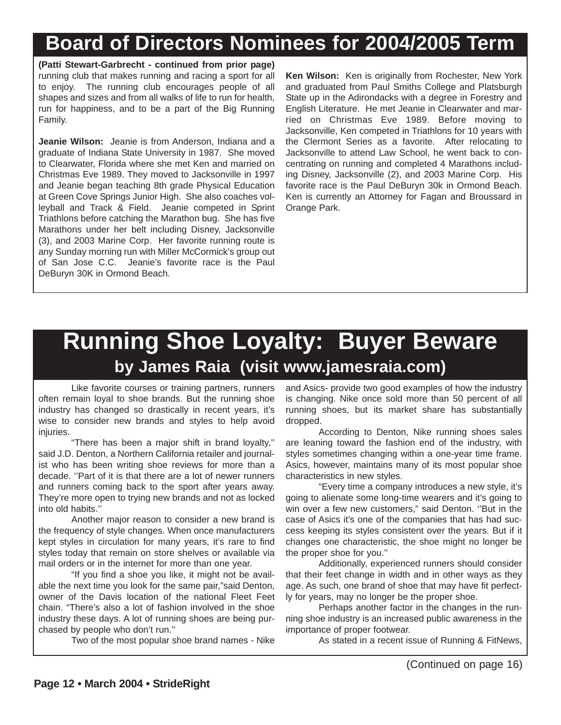# **Board of Directors Nominees for 2004/2005 Term**

**(Patti Stewart-Garbrecht - continued from prior page)** running club that makes running and racing a sport for all to enjoy. The running club encourages people of all shapes and sizes and from all walks of life to run for health, run for happiness, and to be a part of the Big Running Family.

**Jeanie Wilson:** Jeanie is from Anderson, Indiana and a graduate of Indiana State University in 1987. She moved to Clearwater, Florida where she met Ken and married on Christmas Eve 1989. They moved to Jacksonville in 1997 and Jeanie began teaching 8th grade Physical Education at Green Cove Springs Junior High. She also coaches volleyball and Track & Field. Jeanie competed in Sprint Triathlons before catching the Marathon bug. She has five Marathons under her belt including Disney, Jacksonville (3), and 2003 Marine Corp. Her favorite running route is any Sunday morning run with Miller McCormick's group out of San Jose C.C. Jeanie's favorite race is the Paul DeBuryn 30K in Ormond Beach.

**Ken Wilson:** Ken is originally from Rochester, New York and graduated from Paul Smiths College and Platsburgh State up in the Adirondacks with a degree in Forestry and English Literature. He met Jeanie in Clearwater and married on Christmas Eve 1989. Before moving to Jacksonville, Ken competed in Triathlons for 10 years with the Clermont Series as a favorite. After relocating to Jacksonville to attend Law School, he went back to concentrating on running and completed 4 Marathons including Disney, Jacksonville (2), and 2003 Marine Corp. His favorite race is the Paul DeBuryn 30k in Ormond Beach. Ken is currently an Attorney for Fagan and Broussard in Orange Park.

# **Running Shoe Loyalty: Buyer Beware by James Raia (visit www.jamesraia.com)**

Like favorite courses or training partners, runners often remain loyal to shoe brands. But the running shoe industry has changed so drastically in recent years, it's wise to consider new brands and styles to help avoid injuries.

"There has been a major shift in brand loyalty,'' said J.D. Denton, a Northern California retailer and journalist who has been writing shoe reviews for more than a decade. ''Part of it is that there are a lot of newer runners and runners coming back to the sport after years away. They're more open to trying new brands and not as locked into old habits.''

Another major reason to consider a new brand is the frequency of style changes. When once manufacturers kept styles in circulation for many years, it's rare to find styles today that remain on store shelves or available via mail orders or in the internet for more than one year.

"If you find a shoe you like, it might not be available the next time you look for the same pair,"said Denton, owner of the Davis location of the national Fleet Feet chain. "There's also a lot of fashion involved in the shoe industry these days. A lot of running shoes are being purchased by people who don't run.''

Two of the most popular shoe brand names - Nike

and Asics- provide two good examples of how the industry is changing. Nike once sold more than 50 percent of all running shoes, but its market share has substantially dropped.

According to Denton, Nike running shoes sales are leaning toward the fashion end of the industry, with styles sometimes changing within a one-year time frame. Asics, however, maintains many of its most popular shoe characteristics in new styles.

"Every time a company introduces a new style, it's going to alienate some long-time wearers and it's going to win over a few new customers," said Denton. ''But in the case of Asics it's one of the companies that has had success keeping its styles consistent over the years. But if it changes one characteristic, the shoe might no longer be the proper shoe for you.''

Additionally, experienced runners should consider that their feet change in width and in other ways as they age. As such, one brand of shoe that may have fit perfectly for years, may no longer be the proper shoe.

Perhaps another factor in the changes in the running shoe industry is an increased public awareness in the importance of proper footwear.

As stated in a recent issue of Running & FitNews,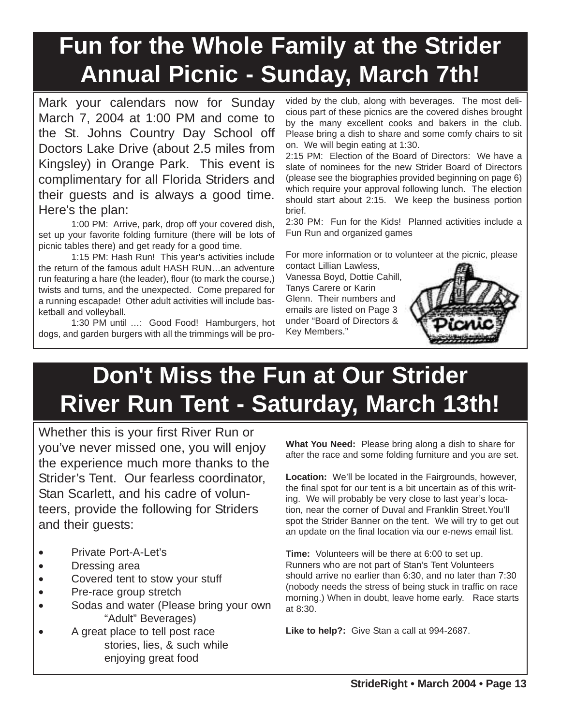# **Fun for the Whole Family at the Strider Annual Picnic - Sunday, March 7th!**

Mark your calendars now for Sunday March 7, 2004 at 1:00 PM and come to the St. Johns Country Day School off Doctors Lake Drive (about 2.5 miles from Kingsley) in Orange Park. This event is complimentary for all Florida Striders and their guests and is always a good time. Here's the plan:

1:00 PM: Arrive, park, drop off your covered dish, set up your favorite folding furniture (there will be lots of picnic tables there) and get ready for a good time.

1:15 PM: Hash Run! This year's activities include the return of the famous adult HASH RUN…an adventure run featuring a hare (the leader), flour (to mark the course,) twists and turns, and the unexpected. Come prepared for a running escapade! Other adult activities will include basketball and volleyball.

1:30 PM until …: Good Food! Hamburgers, hot dogs, and garden burgers with all the trimmings will be provided by the club, along with beverages. The most delicious part of these picnics are the covered dishes brought by the many excellent cooks and bakers in the club. Please bring a dish to share and some comfy chairs to sit on. We will begin eating at 1:30.

2:15 PM: Election of the Board of Directors: We have a slate of nominees for the new Strider Board of Directors (please see the biographies provided beginning on page 6) which require your approval following lunch. The election should start about 2:15. We keep the business portion brief.

2:30 PM: Fun for the Kids! Planned activities include a Fun Run and organized games

For more information or to volunteer at the picnic, please contact Lillian Lawless,

Vanessa Boyd, Dottie Cahill, Tanys Carere or Karin Glenn. Their numbers and emails are listed on Page 3 under "Board of Directors & Key Members."



# **Don't Miss the Fun at Our Strider River Run Tent - Saturday, March 13th!**

Whether this is your first River Run or you've never missed one, you will enjoy the experience much more thanks to the Strider's Tent. Our fearless coordinator, Stan Scarlett, and his cadre of volunteers, provide the following for Striders and their guests:

- Private Port-A-Let's
- Dressing area
- Covered tent to stow your stuff
- Pre-race group stretch
- Sodas and water (Please bring your own "Adult" Beverages)
- A great place to tell post race stories, lies, & such while enjoying great food

**What You Need:** Please bring along a dish to share for after the race and some folding furniture and you are set.

**Location:** We'll be located in the Fairgrounds, however, the final spot for our tent is a bit uncertain as of this writing. We will probably be very close to last year's location, near the corner of Duval and Franklin Street.You'll spot the Strider Banner on the tent. We will try to get out an update on the final location via our e-news email list.

**Time:** Volunteers will be there at 6:00 to set up. Runners who are not part of Stan's Tent Volunteers should arrive no earlier than 6:30, and no later than 7:30 (nobody needs the stress of being stuck in traffic on race morning.) When in doubt, leave home early. Race starts at 8:30.

**Like to help?:** Give Stan a call at 994-2687.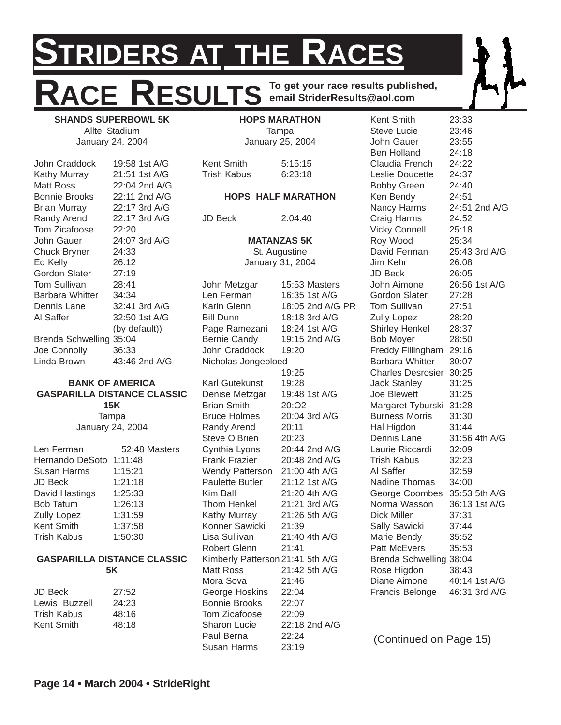# **STRIDERS AT THE RACES** ACE RESULTS **To get your race results published, email StriderResults@aol.com**

**SHANDS SUPERBOWL 5K** Alltel Stadium January 24, 2004

John Craddock 19:58 1st A/G Kathy Murray 21:51 1st A/G Matt Ross 22:04 2nd A/G Bonnie Brooks 22:11 2nd A/G Brian Murray 22:17 3rd A/G Randy Arend 22:17 3rd A/G Tom Zicafoose 22:20 John Gauer 24:07 3rd A/G Chuck Bryner 24:33 Ed Kelly 26:12 Gordon Slater 27:19 Tom Sullivan 28:41 Barbara Whitter 34:34 Dennis Lane 32:41 3rd A/G Al Saffer 32:50 1st A/G (by default)) Brenda Schwelling 35:04 Joe Connolly 36:33 Linda Brown 43:46 2nd A/G

#### **BANK OF AMERICA GASPARILLA DISTANCE CLASSIC 15K Tampa** January 24, 2004

| Len Ferman         | 52:48 Masters |
|--------------------|---------------|
| Hernando DeSoto    | 1:11:48       |
| Susan Harms        | 1:15:21       |
| JD Beck            | 1:21:18       |
| David Hastings     | 1:25:33       |
| <b>Bob Tatum</b>   | 1:26:13       |
| <b>Zully Lopez</b> | 1:31:59       |
| Kent Smith         | 1:37:58       |
| Trish Kabus        | 1:50:30       |
|                    |               |

#### **GASPARILLA DISTANCE CLASSIC 5K**

| JD Beck       | 27:52 |
|---------------|-------|
| Lewis Buzzell | 24:23 |
| Trish Kabus   | 48:16 |
| Kent Smith    | 48:18 |
|               |       |

#### **HOPS MARATHON** Tampa January 25, 2004

Kent Smith 5:15:15 Trish Kabus 6:23:18

#### **HOPS HALF MARATHON**

JD Beck 2:04:40

**MATANZAS 5K** St. Augustine January 31, 2004

John Metzgar 15:53 Masters Len Ferman 16:35 1st A/G Karin Glenn 18:05 2nd A/G PR Bill Dunn 18:18 3rd A/G Page Ramezani 18:24 1st A/G Bernie Candy 19:15 2nd A/G John Craddock 19:20 Nicholas Jongebloed 19:25 Karl Gutekunst 19:28 Denise Metzgar 19:48 1st A/G Brian Smith 20:O2 Bruce Holmes 20:04 3rd A/G Randy Arend 20:11 Steve O'Brien 20:23 Cynthia Lyons 20:44 2nd A/G Frank Frazier 20:48 2nd A/G Wendy Patterson 21:00 4th A/G Paulette Butler 21:12 1st A/G Kim Ball 21:20 4th A/G Thom Henkel 21:21 3rd A/G Kathy Murray 21:26 5th A/G Konner Sawicki 21:39 Lisa Sullivan 21:40 4th A/G Robert Glenn 21:41 Kimberly Patterson 21:41 5th A/G Matt Ross 21:42 5th A/G Mora Sova 21:46 George Hoskins 22:04 Bonnie Brooks 22:07 Tom Zicafoose 22:09 Sharon Lucie 22:18 2nd A/G Paul Berna 22:24 Susan Harms 23:19

Kent Smith 23:33 Steve Lucie 23:46 John Gauer 23:55 Ben Holland 24:18 Claudia French 24:22 Leslie Doucette 24:37 Bobby Green 24:40 Ken Bendy 24:51 Nancy Harms 24:51 2nd A/G Craig Harms 24:52 Vicky Connell 25:18 Roy Wood 25:34 David Ferman 25:43 3rd A/G Jim Kehr 26:08 JD Beck 26:05 John Aimone 26:56 1st A/G Gordon Slater 27:28 Tom Sullivan 27:51 Zully Lopez 28:20 Shirley Henkel 28:37 Bob Moyer 28:50 Freddy Fillingham 29:16 Barbara Whitter 30:07 Charles Desrosier 30:25 Jack Stanley 31:25 Joe Blewett 31:25 Margaret Tyburski 31:28 Burness Morris 31:30 Hal Higdon 31:44 Dennis Lane 31:56 4th A/G Laurie Riccardi 32:09 Trish Kabus 32:23 Al Saffer 32:59 Nadine Thomas 34:00 George Coombes 35:53 5th A/G Norma Wasson 36:13 1st A/G Dick Miller 37:31 Sally Sawicki 37:44 Marie Bendy 35:52 Patt McEvers 35:53 Brenda Schwelling 38:04 Rose Higdon 38:43 Diane Aimone 40:14 1st A/G Francis Belonge 46:31 3rd A/G

(Continued on Page 15)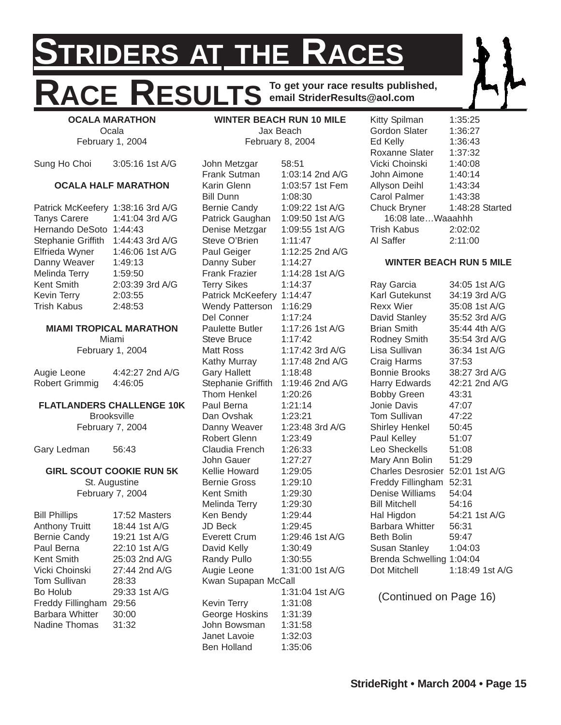# **STRIDERS AT THE RACES** RESULTS To get your race results published, **email StriderResults@aol.com**

**OCALA MARATHON Ocala** February 1, 2004

Sung Ho Choi 3:05:16 1st A/G

#### **OCALA HALF MARATHON**

| Patrick McKeefery 1:38:16 3rd A/G |                 |
|-----------------------------------|-----------------|
| <b>Tanys Carere</b>               | 1:41:04 3rd A/G |
| <b>Hernando DeSoto</b>            | 1:44:43         |
| Stephanie Griffith                | 1:44:43 3rd A/G |
| Elfrieda Wyner                    | 1:46:06 1st A/G |
| Danny Weaver                      | 1:49:13         |
| Melinda Terry                     | 1:59:50         |
| <b>Kent Smith</b>                 | 2:03:39 3rd A/G |
| <b>Kevin Terry</b>                | 2:03:55         |
| <b>Trish Kabus</b>                | 2:48:53         |

#### **MIAMI TROPICAL MARATHON**

Miami February 1, 2004

| Augie Leone    | 4:42:27 2nd A/G |
|----------------|-----------------|
| Robert Grimmig | 4:46:05         |

#### **FLATLANDERS CHALLENGE 10K**

**Brooksville** February 7, 2004

Gary Ledman 56:43

#### **GIRL SCOUT COOKIE RUN 5K** St. Augustine

February 7, 2004

| <b>Bill Phillips</b>   | 17:52 Masters   |
|------------------------|-----------------|
| <b>Anthony Truitt</b>  | 18:44 1st A/G   |
| <b>Bernie Candy</b>    | 19:21 1st A/G   |
| Paul Berna             | 22:10 1st A/G   |
| Kent Smith             | $25:03$ 2nd A/G |
| Vicki Choinski         | 27:44 2nd A/G   |
| <b>Tom Sullivan</b>    | 28:33           |
| Bo Holub               | 29:33 1st A/G   |
| Freddy Fillingham      | 29:56           |
| <b>Barbara Whitter</b> | 30:00           |
| <b>Nadine Thomas</b>   | 31:32           |
|                        |                 |

**WINTER BEACH RUN 10 MILE** Jax Beach February 8, 2004

John Metzgar 58:51 Frank Sutman 1:03:14 2nd A/G Karin Glenn 1:03:57 1st Fem Bill Dunn 1:08:30 Bernie Candy 1:09:22 1st A/G Patrick Gaughan 1:09:50 1st A/G Denise Metzgar 1:09:55 1st A/G Steve O'Brien 1:11:47 Paul Geiger 1:12:25 2nd A/G Danny Suber 1:14:27 Frank Frazier 1:14:28 1st A/G Terry Sikes 1:14:37 Patrick McKeefery 1:14:47 Wendy Patterson 1:16:29 Del Conner 1:17:24 Paulette Butler 1:17:26 1st A/G Steve Bruce 1:17:42 Matt Ross 1:17:42 3rd A/G Kathy Murray 1:17:48 2nd A/G Gary Hallett 1:18:48 Stephanie Griffith 1:19:46 2nd A/G Thom Henkel 1:20:26 Paul Berna 1:21:14 Dan Ovshak 1:23:21 Danny Weaver 1:23:48 3rd A/G Robert Glenn 1:23:49 Claudia French 1:26:33 John Gauer 1:27:27 Kellie Howard 1:29:05 Bernie Gross 1:29:10 Kent Smith 1:29:30 Melinda Terry 1:29:30 Ken Bendy 1:29:44 JD Beck 1:29:45 Everett Crum 1:29:46 1st A/G David Kelly 1:30:49 Randy Pullo 1:30:55 Augie Leone 1:31:00 1st A/G Kwan Supapan McCall 1:31:04 1st A/G Kevin Terry 1:31:08 George Hoskins 1:31:39 John Bowsman 1:31:58 Janet Lavoie 1:32:03 Ben Holland 1:35:06

Kitty Spilman 1:35:25 Gordon Slater 1:36:27 Ed Kelly 1:36:43 Roxanne Slater 1:37:32 Vicki Choinski 1:40:08 John Aimone 1:40:14 Allyson Deihl 1:43:34 Carol Palmer 1:43:38 Chuck Bryner 1:48:28 Started 16:08 late…Waaahhh Trish Kabus 2:02:02 Al Saffer 2:11:00

#### **WINTER BEACH RUN 5 MILE**

| Ray Garcia                      | 34:05 1st A/G   |
|---------------------------------|-----------------|
| Karl Gutekunst                  | 34:19 3rd A/G   |
| Rexx Wier                       | 35:08 1st A/G   |
| David Stanley                   | 35:52 3rd A/G   |
| <b>Brian Smith</b>              | 35:44 4th A/G   |
| Rodney Smith                    | 35:54 3rd A/G   |
| Lisa Sullivan                   | 36:34 1st A/G   |
| Craig Harms                     | 37:53           |
| <b>Bonnie Brooks</b>            | 38:27 3rd A/G   |
| Harry Edwards                   | 42:21 2nd A/G   |
| <b>Bobby Green</b>              | 43:31           |
| Jonie Davis                     | 47:07           |
| Tom Sullivan                    | 47:22           |
| Shirley Henkel                  | 50:45           |
| Paul Kelley                     | 51:07           |
| Leo Sheckells                   | 51:08           |
| Mary Ann Bolin                  | 51:29           |
| Charles Desrosier 52:01 1st A/G |                 |
| Freddy Fillingham               | 52:31           |
| <b>Denise Williams</b>          | 54:04           |
| <b>Bill Mitchell</b>            | 54:16           |
| Hal Higdon                      | 54:21 1st A/G   |
| <b>Barbara Whitter</b>          | 56:31           |
| Beth Bolin                      | 59:47           |
| Susan Stanley                   | 1:04:03         |
| Brenda Schwelling 1:04:04       |                 |
| Dot Mitchell                    | 1:18:49 1st A/G |
|                                 |                 |

(Continued on Page 16)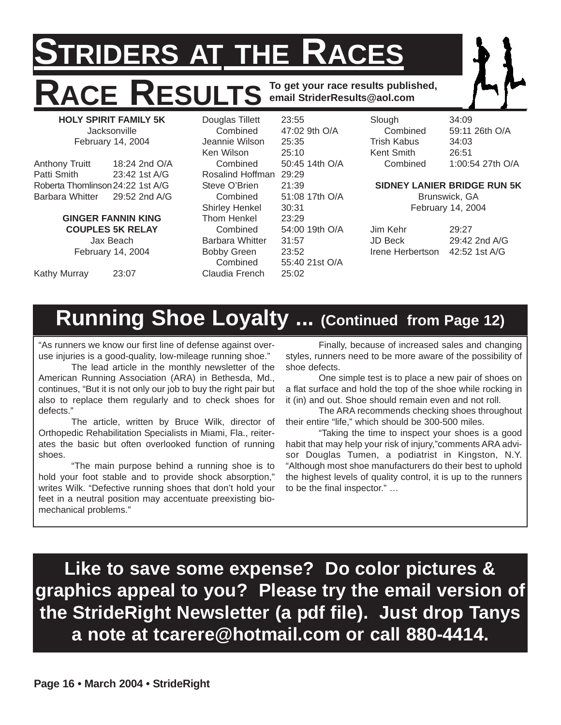# **IDERS AT THE RACES ESULTS** To get your race results published, **email StriderResults@aol.com**

**HOLY SPIRIT FAMILY 5K Jacksonville** February 14, 2004

| <b>Anthony Truitt</b>            | 18:24 2nd O/A |
|----------------------------------|---------------|
| Patti Smith                      | 23:42 1st A/G |
| Roberta Thomlinson 24:22 1st A/G |               |
| <b>Barbara Whitter</b>           | 29:52 2nd A/G |

#### **GINGER FANNIN KING COUPLES 5K RELAY**

Jax Beach February 14, 2004

Kathy Murray 23:07

Douglas Tillett 23:55 Combined 47:02 9th O/A Jeannie Wilson 25:35 Ken Wilson 25:10 Combined 50:45 14th O/A Rosalind Hoffman 29:29 Steve O'Brien 21:39 Combined 51:08 17th O/A Shirley Henkel 30:31 Thom Henkel 23:29 Combined 54:00 19th O/A Barbara Whitter 31:57 Bobby Green 23:52 Combined 55:40 21st O/A Claudia French 25:02

Slough 34:09 Trish Kabus 34:03 Kent Smith 26:51

Combined 59:11 26th O/A Combined 1:00:54 27th O/A

#### **SIDNEY LANIER BRIDGE RUN 5K**

Brunswick, GA February 14, 2004

Jim Kehr 29:27 JD Beck 29:42 2nd A/G Irene Herbertson 42:52 1st A/G

# **Running Shoe Loyalty ... (Continued from Page 12)**

"As runners we know our first line of defense against overuse injuries is a good-quality, low-mileage running shoe."

The lead article in the monthly newsletter of the American Running Association (ARA) in Bethesda, Md., continues, "But it is not only our job to buy the right pair but also to replace them regularly and to check shoes for defects."

The article, written by Bruce Wilk, director of Orthopedic Rehabilitation Specialists in Miami, Fla., reiterates the basic but often overlooked function of running shoes.

"The main purpose behind a running shoe is to hold your foot stable and to provide shock absorption," writes Wilk. "Defective running shoes that don't hold your feet in a neutral position may accentuate preexisting biomechanical problems."

Finally, because of increased sales and changing styles, runners need to be more aware of the possibility of shoe defects.

One simple test is to place a new pair of shoes on a flat surface and hold the top of the shoe while rocking in it (in) and out. Shoe should remain even and not roll.

The ARA recommends checking shoes throughout their entire "life," which should be 300-500 miles.

"Taking the time to inspect your shoes is a good habit that may help your risk of injury,"comments ARA advisor Douglas Tumen, a podiatrist in Kingston, N.Y. "Although most shoe manufacturers do their best to uphold the highest levels of quality control, it is up to the runners to be the final inspector." …

**Like to save some expense? Do color pictures & graphics appeal to you? Please try the email version of the StrideRight Newsletter (a pdf file). Just drop Tanys a note at tcarere@hotmail.com or call 880-4414.**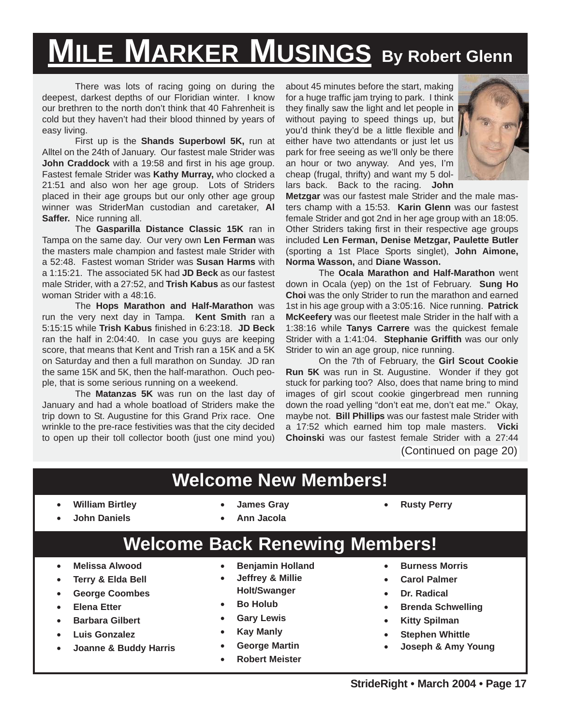# **MILE MARKER MUSINGS By Robert Glenn**

There was lots of racing going on during the deepest, darkest depths of our Floridian winter. I know our brethren to the north don't think that 40 Fahrenheit is cold but they haven't had their blood thinned by years of easy living.

First up is the **Shands Superbowl 5K,** run at Alltel on the 24th of January. Our fastest male Strider was **John Craddock** with a 19:58 and first in his age group. Fastest female Strider was **Kathy Murray,** who clocked a 21:51 and also won her age group. Lots of Striders placed in their age groups but our only other age group winner was StriderMan custodian and caretaker, **Al Saffer.** Nice running all.

The **Gasparilla Distance Classic 15K** ran in Tampa on the same day. Our very own **Len Ferman** was the masters male champion and fastest male Strider with a 52:48. Fastest woman Strider was **Susan Harms** with a 1:15:21. The associated 5K had **JD Beck** as our fastest male Strider, with a 27:52, and **Trish Kabus** as our fastest woman Strider with a 48:16.

The **Hops Marathon and Half-Marathon** was run the very next day in Tampa. **Kent Smith** ran a 5:15:15 while **Trish Kabus** finished in 6:23:18. **JD Beck** ran the half in 2:04:40. In case you guys are keeping score, that means that Kent and Trish ran a 15K and a 5K on Saturday and then a full marathon on Sunday. JD ran the same 15K and 5K, then the half-marathon. Ouch people, that is some serious running on a weekend.

The **Matanzas 5K** was run on the last day of January and had a whole boatload of Striders make the trip down to St. Augustine for this Grand Prix race. One wrinkle to the pre-race festivities was that the city decided to open up their toll collector booth (just one mind you) about 45 minutes before the start, making for a huge traffic jam trying to park. I think they finally saw the light and let people in without paying to speed things up, but you'd think they'd be a little flexible and either have two attendants or just let us park for free seeing as we'll only be there an hour or two anyway. And yes, I'm cheap (frugal, thrifty) and want my 5 dollars back. Back to the racing. **John**



**Metzgar** was our fastest male Strider and the male masters champ with a 15:53. **Karin Glenn** was our fastest female Strider and got 2nd in her age group with an 18:05. Other Striders taking first in their respective age groups included **Len Ferman, Denise Metzgar, Paulette Butler** (sporting a 1st Place Sports singlet), **John Aimone, Norma Wasson,** and **Diane Wasson.**

The **Ocala Marathon and Half-Marathon** went down in Ocala (yep) on the 1st of February. **Sung Ho Choi** was the only Strider to run the marathon and earned 1st in his age group with a 3:05:16. Nice running. **Patrick McKeefery** was our fleetest male Strider in the half with a 1:38:16 while **Tanys Carrere** was the quickest female Strider with a 1:41:04. **Stephanie Griffith** was our only Strider to win an age group, nice running.

On the 7th of February, the **Girl Scout Cookie Run 5K** was run in St. Augustine. Wonder if they got stuck for parking too? Also, does that name bring to mind images of girl scout cookie gingerbread men running down the road yelling "don't eat me, don't eat me." Okay, maybe not. **Bill Phillips** was our fastest male Strider with a 17:52 which earned him top male masters. **Vicki Choinski** was our fastest female Strider with a 27:44 (Continued on page 20)

### **Welcome New Members!**

**Welcome Back Renewing Members!**

• **William Birtley**

• **James Gray**

• **Rusty Perry**

• **John Daniels**

• **Ann Jacola**

- **Melissa Alwood**
- **Terry & Elda Bell**
- **George Coombes**
- **Elena Etter**
- **Barbara Gilbert**
- **Luis Gonzalez**
- **Joanne & Buddy Harris**
- **Benjamin Holland**
- **Jeffrey & Millie Holt/Swanger**
- **Bo Holub**
- **Gary Lewis**
- **Kay Manly**
- **George Martin**
- **Robert Meister**
- **Burness Morris**
- **Carol Palmer**
- **Dr. Radical**
- **Brenda Schwelling**
- **Kitty Spilman**
- **Stephen Whittle**
- **Joseph & Amy Young**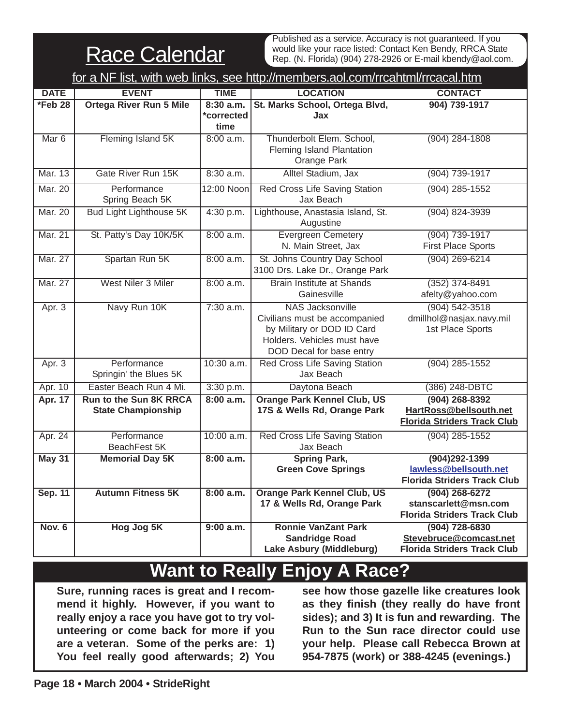**Race Calendar** 

Published as a service. Accuracy is not guaranteed. If you would like your race listed: Contact Ken Bendy, RRCA State Rep. (N. Florida) (904) 278-2926 or E-mail kbendy@aol.com.

|                  | for a NF list, with web links, see http://members.aol.com/rrcahtml/rrcacal.htm |                                   |                                                                                                                                                   |                                                                                    |  |  |  |  |  |
|------------------|--------------------------------------------------------------------------------|-----------------------------------|---------------------------------------------------------------------------------------------------------------------------------------------------|------------------------------------------------------------------------------------|--|--|--|--|--|
| <b>DATE</b>      | <b>EVENT</b>                                                                   | <b>TIME</b>                       | <b>LOCATION</b>                                                                                                                                   | <b>CONTACT</b>                                                                     |  |  |  |  |  |
| *Feb 28          | <b>Ortega River Run 5 Mile</b>                                                 | $8:30$ a.m.<br>*corrected<br>time | St. Marks School, Ortega Blvd,<br>Jax                                                                                                             | 904) 739-1917                                                                      |  |  |  |  |  |
| Mar <sub>6</sub> | Fleming Island 5K                                                              | 8:00 a.m.                         | Thunderbolt Elem. School,<br>Fleming Island Plantation<br>Orange Park                                                                             | $(904)$ 284-1808                                                                   |  |  |  |  |  |
| Mar. 13          | Gate River Run 15K                                                             | 8:30 a.m.                         | Alltel Stadium, Jax                                                                                                                               | $(904)$ 739-1917                                                                   |  |  |  |  |  |
| <b>Mar. 20</b>   | Performance<br>Spring Beach 5K                                                 | 12:00 Noon                        | <b>Red Cross Life Saving Station</b><br>Jax Beach                                                                                                 | $(904)$ 285-1552                                                                   |  |  |  |  |  |
| <b>Mar. 20</b>   | <b>Bud Light Lighthouse 5K</b>                                                 | 4:30 p.m.                         | Lighthouse, Anastasia Island, St.<br>Augustine                                                                                                    | $(904) 824 - 3939$                                                                 |  |  |  |  |  |
| <b>Mar. 21</b>   | St. Patty's Day 10K/5K                                                         | 8:00 a.m.                         | <b>Evergreen Cemetery</b><br>N. Main Street, Jax                                                                                                  | $(904)$ 739-1917<br><b>First Place Sports</b>                                      |  |  |  |  |  |
| <b>Mar. 27</b>   | Spartan Run 5K                                                                 | 8:00 a.m.                         | St. Johns Country Day School<br>3100 Drs. Lake Dr., Orange Park                                                                                   | $(904)$ 269-6214                                                                   |  |  |  |  |  |
| <b>Mar. 27</b>   | West Niler 3 Miler                                                             | 8:00 a.m.                         | <b>Brain Institute at Shands</b><br>Gainesville                                                                                                   | $(352)$ 374-8491<br>afelty@yahoo.com                                               |  |  |  |  |  |
| Apr. $3$         | Navy Run 10K                                                                   | $7:30$ a.m.                       | <b>NAS Jacksonville</b><br>Civilians must be accompanied<br>by Military or DOD ID Card<br>Holders. Vehicles must have<br>DOD Decal for base entry | $(904) 542 - 3518$<br>dmillhol@nasjax.navy.mil<br>1st Place Sports                 |  |  |  |  |  |
| Apr. $3$         | Performance<br>Springin' the Blues 5K                                          | 10:30 a.m.                        | <b>Red Cross Life Saving Station</b><br>Jax Beach                                                                                                 | $(904)$ 285-1552                                                                   |  |  |  |  |  |
| Apr. 10          | Easter Beach Run 4 Mi.                                                         | 3:30 p.m.                         | Daytona Beach                                                                                                                                     | (386) 248-DBTC                                                                     |  |  |  |  |  |
| <b>Apr. 17</b>   | <b>Run to the Sun 8K RRCA</b><br><b>State Championship</b>                     | 8:00 a.m.                         | <b>Orange Park Kennel Club, US</b><br>17S & Wells Rd, Orange Park                                                                                 | $(904)$ 268-8392<br>HartRoss@bellsouth.net<br><b>Florida Striders Track Club</b>   |  |  |  |  |  |
| Apr. 24          | Performance<br>BeachFest 5K                                                    | 10:00 a.m.                        | Red Cross Life Saving Station<br>Jax Beach                                                                                                        | $(904)$ 285-1552                                                                   |  |  |  |  |  |
| <b>May 31</b>    | <b>Memorial Day 5K</b>                                                         | 8:00 a.m.                         | <b>Spring Park,</b><br><b>Green Cove Springs</b>                                                                                                  | $(904)292 - 1399$<br>lawless@bellsouth.net<br><b>Florida Striders Track Club</b>   |  |  |  |  |  |
| <b>Sep. 11</b>   | <b>Autumn Fitness 5K</b>                                                       | 8:00 a.m.                         | <b>Orange Park Kennel Club, US</b><br>17 & Wells Rd, Orange Park                                                                                  | $(904) 268 - 6272$<br>stanscarlett@msn.com<br><b>Florida Striders Track Club</b>   |  |  |  |  |  |
| <b>Nov. 6</b>    | Hog Jog 5K                                                                     | 9:00 a.m.                         | <b>Ronnie VanZant Park</b><br><b>Sandridge Road</b><br>Lake Asbury (Middleburg)                                                                   | $(904) 728 - 6830$<br>Stevebruce@comcast.net<br><b>Florida Striders Track Club</b> |  |  |  |  |  |

# **Want to Really Enjoy A Race?**

**Sure, running races is great and I recommend it highly. However, if you want to really enjoy a race you have got to try volunteering or come back for more if you are a veteran. Some of the perks are: 1) You feel really good afterwards; 2) You**

**see how those gazelle like creatures look as they finish (they really do have front sides); and 3) It is fun and rewarding. The Run to the Sun race director could use your help. Please call Rebecca Brown at 954-7875 (work) or 388-4245 (evenings.)**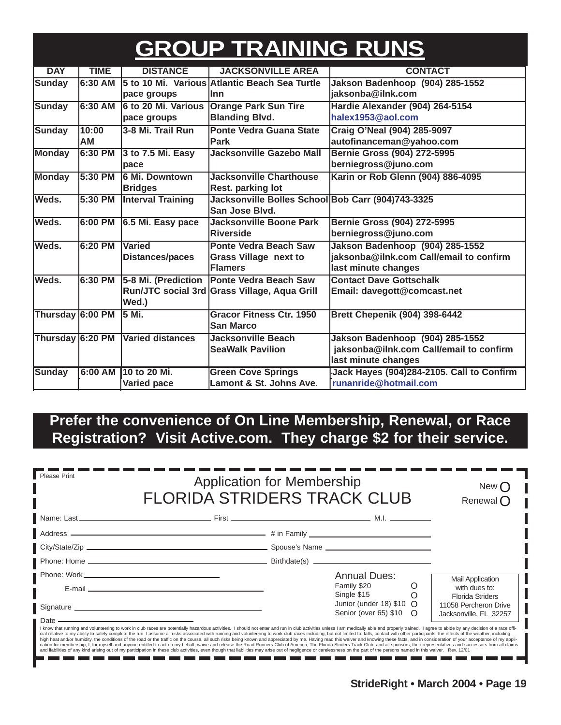# **GROUP TRAINING RUNS**

| <b>DAY</b>       | <b>TIME</b> | <b>DISTANCE</b>          | <b>JACKSONVILLE AREA</b>                          | <b>CONTACT</b>                            |
|------------------|-------------|--------------------------|---------------------------------------------------|-------------------------------------------|
| <b>Sunday</b>    | $6:30$ AM   |                          | 5 to 10 Mi. Various Atlantic Beach Sea Turtle     | Jakson Badenhoop (904) 285-1552           |
|                  |             | pace groups              | llnn                                              | jaksonba@ilnk.com                         |
| <b>Sunday</b>    | 6:30 AM     | l6 to 20 Mi. Various     | <b>Orange Park Sun Tire</b>                       | Hardie Alexander (904) 264-5154           |
|                  |             | pace groups              | <b>Blanding Blvd.</b>                             | halex1953@aol.com                         |
| <b>Sunday</b>    | 10:00       | 3-8 Mi. Trail Run        | <b>Ponte Vedra Guana State</b>                    | Craig O'Neal (904) 285-9097               |
|                  | АM          |                          | Park                                              | autofinanceman@yahoo.com                  |
| Monday           | $6:30$ PM   | 3 to 7.5 Mi. Easy        | <b>Jacksonville Gazebo Mall</b>                   | Bernie Gross (904) 272-5995               |
|                  |             | pace                     |                                                   | berniegross@juno.com                      |
| <b>Monday</b>    | 5:30 PM     | <b>6 Mi. Downtown</b>    | <b>Jacksonville Charthouse</b>                    | Karin or Rob Glenn (904) 886-4095         |
|                  |             | <b>Bridges</b>           | Rest. parking lot                                 |                                           |
| Weds.            | 5:30 PM     | <b>Interval Training</b> | Jacksonville Bolles School Bob Carr (904)743-3325 |                                           |
|                  |             |                          | San Jose Blvd.                                    |                                           |
| Weds.            | 6:00 PM     | 6.5 Mi. Easy pace        | <b>Jacksonville Boone Park</b>                    | Bernie Gross (904) 272-5995               |
|                  |             |                          | <b>Riverside</b>                                  | berniegross@juno.com                      |
| Weds.            | 6:20 PM     | <b>Varied</b>            | <b>Ponte Vedra Beach Saw</b>                      | Jakson Badenhoop (904) 285-1552           |
|                  |             | <b>Distances/paces</b>   | <b>Grass Village next to</b>                      | jaksonba@ilnk.com Call/email to confirm   |
|                  |             |                          | Flamers                                           | last minute changes                       |
| Weds.            | 6:30 PM     | 5-8 Mi. (Prediction      | <b>Ponte Vedra Beach Saw</b>                      | <b>Contact Dave Gottschalk</b>            |
|                  |             |                          | Run/JTC social 3rd Grass Village, Aqua Grill      | Email: davegott@comcast.net               |
|                  |             | Wed.)                    |                                                   |                                           |
| Thursday 6:00 PM |             | 5 Mi.                    | <b>Gracor Fitness Ctr. 1950</b>                   | <b>Brett Chepenik (904) 398-6442</b>      |
|                  |             |                          | <b>San Marco</b>                                  |                                           |
| Thursday 6:20 PM |             | Varied distances         | <b>Jacksonville Beach</b>                         | Jakson Badenhoop (904) 285-1552           |
|                  |             |                          | <b>SeaWalk Pavilion</b>                           | jaksonba@ilnk.com Call/email to confirm   |
|                  |             |                          |                                                   | last minute changes                       |
| Sunday           | 6:00 AM     | 10 to 20 Mi.             | <b>Green Cove Springs</b>                         | Jack Hayes (904)284-2105. Call to Confirm |
|                  |             | Varied pace              | Lamont & St. Johns Ave.                           | runanride@hotmail.com                     |

### **Prefer the convenience of On Line Membership, Renewal, or Race Registration? Visit Active.com. They charge \$2 for their service.**

| Please Print<br><b>Application for Membership</b><br><b>FLORIDA STRIDERS TRACK CLUB</b> |                                                                                                                                                                                                                                                                                                                                                                                                                                                                                                                                                                                                                                                                                                                                                                                                                                                                                                                                                                                                                                                                                                                                                                    | New (<br>Renewal $\bigcap$                             |                                                                     |
|-----------------------------------------------------------------------------------------|--------------------------------------------------------------------------------------------------------------------------------------------------------------------------------------------------------------------------------------------------------------------------------------------------------------------------------------------------------------------------------------------------------------------------------------------------------------------------------------------------------------------------------------------------------------------------------------------------------------------------------------------------------------------------------------------------------------------------------------------------------------------------------------------------------------------------------------------------------------------------------------------------------------------------------------------------------------------------------------------------------------------------------------------------------------------------------------------------------------------------------------------------------------------|--------------------------------------------------------|---------------------------------------------------------------------|
|                                                                                         |                                                                                                                                                                                                                                                                                                                                                                                                                                                                                                                                                                                                                                                                                                                                                                                                                                                                                                                                                                                                                                                                                                                                                                    |                                                        |                                                                     |
|                                                                                         |                                                                                                                                                                                                                                                                                                                                                                                                                                                                                                                                                                                                                                                                                                                                                                                                                                                                                                                                                                                                                                                                                                                                                                    |                                                        |                                                                     |
|                                                                                         |                                                                                                                                                                                                                                                                                                                                                                                                                                                                                                                                                                                                                                                                                                                                                                                                                                                                                                                                                                                                                                                                                                                                                                    |                                                        |                                                                     |
|                                                                                         |                                                                                                                                                                                                                                                                                                                                                                                                                                                                                                                                                                                                                                                                                                                                                                                                                                                                                                                                                                                                                                                                                                                                                                    |                                                        |                                                                     |
|                                                                                         | E-mail entertainment and the contract of the contract of the contract of the contract of the contract of the contract of the contract of the contract of the contract of the contract of the contract of the contract of the c                                                                                                                                                                                                                                                                                                                                                                                                                                                                                                                                                                                                                                                                                                                                                                                                                                                                                                                                     | <b>Annual Dues:</b><br>Family \$20<br>O<br>Single \$15 | <b>Mail Application</b><br>with dues to:<br><b>Florida Striders</b> |
|                                                                                         | Signature Signature Signature Signature Signature Signature Signature Signature Signature Signature Signature Signature Signature Signature Signature Signature Signature Signature Signature Signature Signature Signature Si                                                                                                                                                                                                                                                                                                                                                                                                                                                                                                                                                                                                                                                                                                                                                                                                                                                                                                                                     | Junior (under 18) $$10$ O<br>Senior (over 65) \$10 O   | 11058 Percheron Drive<br>Jacksonville, FL 32257                     |
| $\blacksquare$ Date $\blacksquare$                                                      | I know that running and volunteering to work in club races are potentially hazardous activities. I should not enter and run in club activities unless I am medically able and properly trained. I agree to abide by any decisi<br>cial relative to my ability to safely complete the run. I assume all risks associated with running and volunteering to work club races including, but not limited to, falls, contact with other participants, the effects of t<br>high heat and/or humidity, the conditions of the road or the traffic on the course, all such risks being known and appreciated by me. Having read this waiver and knowing these facts, and in consideration of your acceptance<br>cation for membership, I, for myself and anyone entitled to act on my behalf, waive and release the Road Runners Club of America, The Florida Striders Track Club, and all sponsors, their representatives and successors from<br>and liabilities of any kind arising out of my participation in these club activities, even though that liabilities may arise out of negligence or carelessness on the part of the persons named in this waiver. Rev. 12/01 |                                                        |                                                                     |

----------